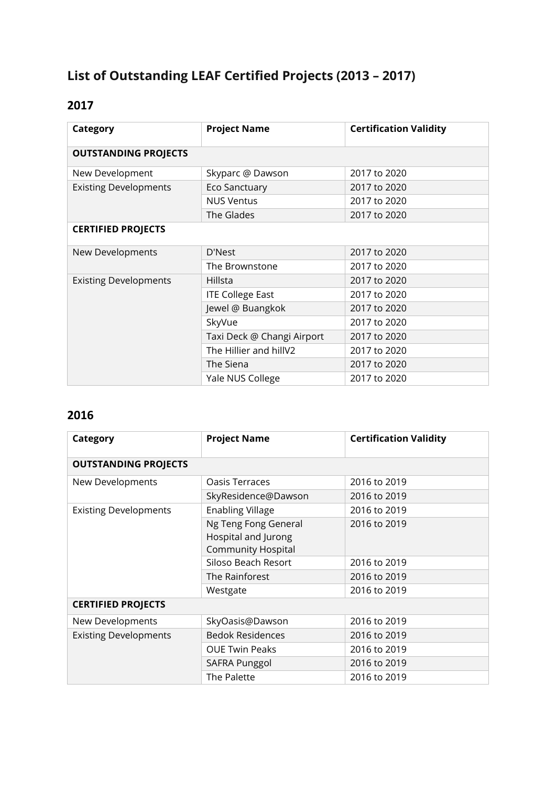# **List of Outstanding LEAF Certified Projects (2013 – 2017)**

## **2017**

| <b>Category</b>              | <b>Project Name</b>        | <b>Certification Validity</b> |  |  |
|------------------------------|----------------------------|-------------------------------|--|--|
| <b>OUTSTANDING PROJECTS</b>  |                            |                               |  |  |
| New Development              | Skyparc @ Dawson           | 2017 to 2020                  |  |  |
| <b>Existing Developments</b> | Eco Sanctuary              | 2017 to 2020                  |  |  |
|                              | <b>NUS Ventus</b>          | 2017 to 2020                  |  |  |
|                              | The Glades                 | 2017 to 2020                  |  |  |
| <b>CERTIFIED PROJECTS</b>    |                            |                               |  |  |
| New Developments             | D'Nest                     | 2017 to 2020                  |  |  |
|                              | The Brownstone             | 2017 to 2020                  |  |  |
| <b>Existing Developments</b> | Hillsta                    | 2017 to 2020                  |  |  |
|                              | <b>ITE College East</b>    | 2017 to 2020                  |  |  |
|                              | Jewel @ Buangkok           | 2017 to 2020                  |  |  |
|                              | SkyVue                     | 2017 to 2020                  |  |  |
|                              | Taxi Deck @ Changi Airport | 2017 to 2020                  |  |  |
|                              | The Hillier and hillV2     | 2017 to 2020                  |  |  |
|                              | The Siena                  | 2017 to 2020                  |  |  |
|                              | Yale NUS College           | 2017 to 2020                  |  |  |

## **2016**

| Category                     | <b>Project Name</b>                                                      | <b>Certification Validity</b> |  |  |
|------------------------------|--------------------------------------------------------------------------|-------------------------------|--|--|
| <b>OUTSTANDING PROJECTS</b>  |                                                                          |                               |  |  |
| New Developments             | Oasis Terraces                                                           | 2016 to 2019                  |  |  |
|                              | SkyResidence@Dawson                                                      | 2016 to 2019                  |  |  |
| <b>Existing Developments</b> | <b>Enabling Village</b>                                                  | 2016 to 2019                  |  |  |
|                              | Ng Teng Fong General<br>Hospital and Jurong<br><b>Community Hospital</b> | 2016 to 2019                  |  |  |
|                              | Siloso Beach Resort                                                      | 2016 to 2019                  |  |  |
|                              | The Rainforest                                                           | 2016 to 2019                  |  |  |
|                              | Westgate                                                                 | 2016 to 2019                  |  |  |
| <b>CERTIFIED PROJECTS</b>    |                                                                          |                               |  |  |
| New Developments             | SkyOasis@Dawson                                                          | 2016 to 2019                  |  |  |
| <b>Existing Developments</b> | <b>Bedok Residences</b>                                                  | 2016 to 2019                  |  |  |
|                              | <b>OUE Twin Peaks</b>                                                    | 2016 to 2019                  |  |  |
|                              | <b>SAFRA Punggol</b>                                                     | 2016 to 2019                  |  |  |
|                              | The Palette                                                              | 2016 to 2019                  |  |  |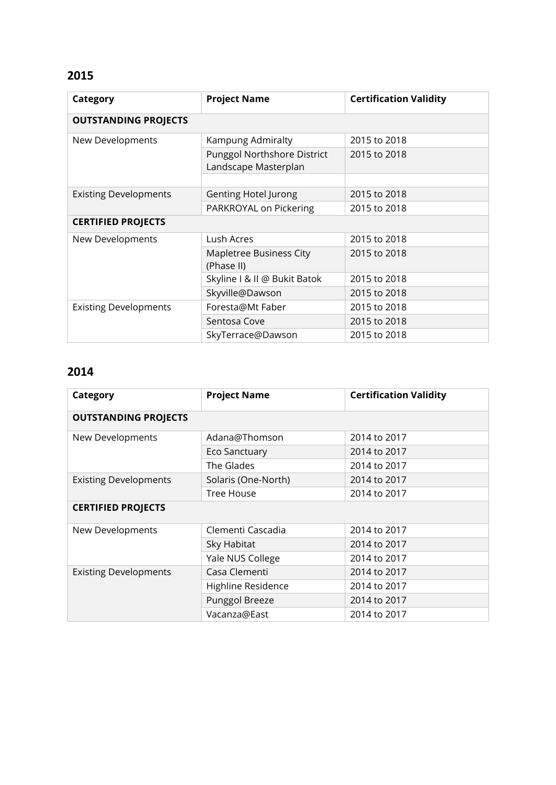### **2015**

| Category                     | <b>Project Name</b>                                 | <b>Certification Validity</b> |  |  |
|------------------------------|-----------------------------------------------------|-------------------------------|--|--|
| <b>OUTSTANDING PROJECTS</b>  |                                                     |                               |  |  |
| New Developments             | Kampung Admiralty                                   | 2015 to 2018                  |  |  |
|                              | Punggol Northshore District<br>Landscape Masterplan | 2015 to 2018                  |  |  |
|                              |                                                     |                               |  |  |
| <b>Existing Developments</b> | <b>Genting Hotel Jurong</b>                         | 2015 to 2018                  |  |  |
|                              | PARKROYAL on Pickering                              | 2015 to 2018                  |  |  |
| <b>CERTIFIED PROJECTS</b>    |                                                     |                               |  |  |
| New Developments             | Lush Acres                                          | 2015 to 2018                  |  |  |
|                              | Mapletree Business City<br>(Phase II)               | 2015 to 2018                  |  |  |
|                              | Skyline I & II @ Bukit Batok                        | 2015 to 2018                  |  |  |
|                              | Skyville@Dawson                                     | 2015 to 2018                  |  |  |
| <b>Existing Developments</b> | Foresta@Mt Faber                                    | 2015 to 2018                  |  |  |
|                              | Sentosa Cove                                        | 2015 to 2018                  |  |  |
|                              | SkyTerrace@Dawson                                   | 2015 to 2018                  |  |  |

#### **2014**

| <b>Category</b>              | <b>Project Name</b> | <b>Certification Validity</b> |  |  |
|------------------------------|---------------------|-------------------------------|--|--|
| <b>OUTSTANDING PROJECTS</b>  |                     |                               |  |  |
| New Developments             | Adana@Thomson       | 2014 to 2017                  |  |  |
|                              | Eco Sanctuary       | 2014 to 2017                  |  |  |
|                              | The Glades          | 2014 to 2017                  |  |  |
| <b>Existing Developments</b> | Solaris (One-North) | 2014 to 2017                  |  |  |
|                              | Tree House          | 2014 to 2017                  |  |  |
| <b>CERTIFIED PROJECTS</b>    |                     |                               |  |  |
| New Developments             | Clementi Cascadia   | 2014 to 2017                  |  |  |
|                              | Sky Habitat         | 2014 to 2017                  |  |  |
|                              | Yale NUS College    | 2014 to 2017                  |  |  |
| <b>Existing Developments</b> | Casa Clementi       | 2014 to 2017                  |  |  |
|                              | Highline Residence  | 2014 to 2017                  |  |  |
|                              | Punggol Breeze      | 2014 to 2017                  |  |  |
|                              | Vacanza@East        | 2014 to 2017                  |  |  |